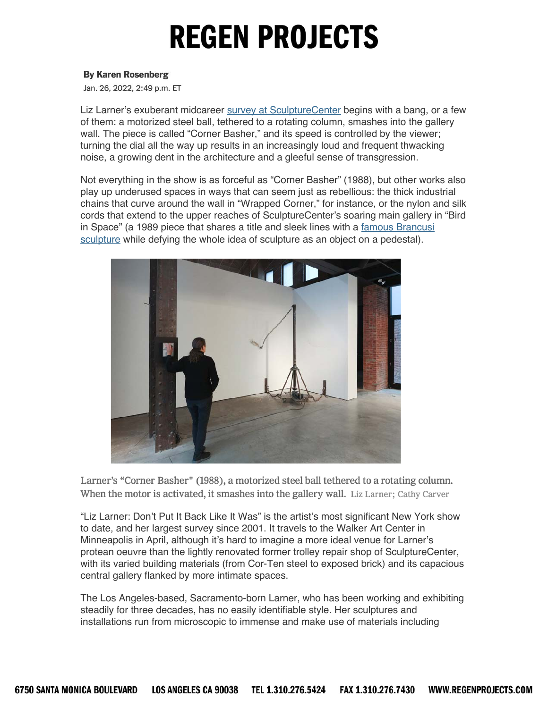#### **By Karen Rosenberg**

Jan. 26, 2022, 2:49 p.m. ET

Liz Larner's exuberant midcareer survey at SculptureCenter begins with a bang, or a few of them: a motorized steel ball, tethered to a rotating column, smashes into the gallery wall. The piece is called "Corner Basher," and its speed is controlled by the viewer; turning the dial all the way up results in an increasingly loud and frequent thwacking noise, a growing dent in the architecture and a gleeful sense of transgression.

Not everything in the show is as forceful as "Corner Basher" (1988), but other works also play up underused spaces in ways that can seem just as rebellious: the thick industrial chains that curve around the wall in "Wrapped Corner," for instance, or the nylon and silk cords that extend to the upper reaches of SculptureCenter's soaring main gallery in "Bird in Space" (a 1989 piece that shares a title and sleek lines with a famous Brancusi sculpture while defying the whole idea of sculpture as an object on a pedestal).



Larner's "Corner Basher" (1988), a motorized steel ball tethered to a rotating column. When the motor is activated, it smashes into the gallery wall. Liz Larner; Cathy Carver

"Liz Larner: Don't Put It Back Like It Was" is the artist's most significant New York show to date, and her largest survey since 2001. It travels to the Walker Art Center in Minneapolis in April, although it's hard to imagine a more ideal venue for Larner's protean oeuvre than the lightly renovated former trolley repair shop of SculptureCenter, with its varied building materials (from Cor-Ten steel to exposed brick) and its capacious central gallery flanked by more intimate spaces.

The Los Angeles-based, Sacramento-born Larner, who has been working and exhibiting steadily for three decades, has no easily identifiable style. Her sculptures and installations run from microscopic to immense and make use of materials including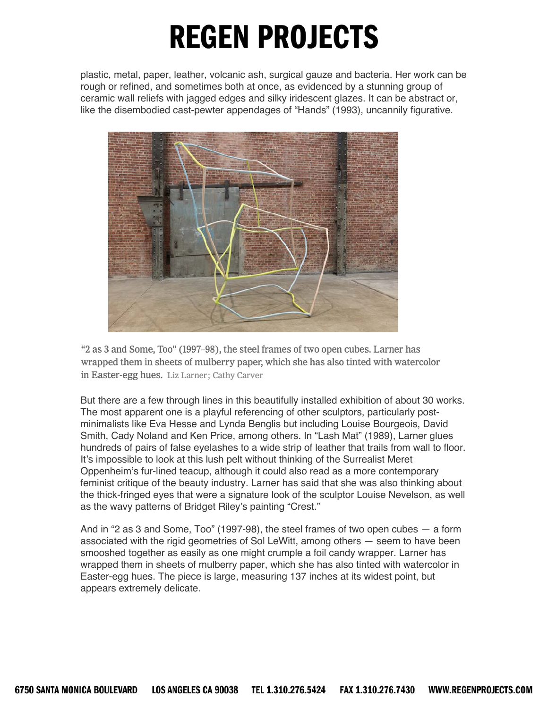plastic, metal, paper, leather, volcanic ash, surgical gauze and bacteria. Her work can be rough or refined, and sometimes both at once, as evidenced by a stunning group of ceramic wall reliefs with jagged edges and silky iridescent glazes. It can be abstract or, like the disembodied cast-pewter appendages of "Hands" (1993), uncannily figurative.



"2 as 3 and Some, Too" (1997-98), the steel frames of two open cubes. Larner has wrapped them in sheets of mulberry paper, which she has also tinted with watercolor in Easter-egg hues. Liz Larner; Cathy Carver

But there are a few through lines in this beautifully installed exhibition of about 30 works. The most apparent one is a playful referencing of other sculptors, particularly postminimalists like Eva Hesse and Lynda Benglis but including Louise Bourgeois, David Smith, Cady Noland and Ken Price, among others. In "Lash Mat" (1989), Larner glues hundreds of pairs of false eyelashes to a wide strip of leather that trails from wall to floor. It's impossible to look at this lush pelt without thinking of the Surrealist Meret Oppenheim's fur-lined teacup, although it could also read as a more contemporary feminist critique of the beauty industry. Larner has said that she was also thinking about the thick-fringed eyes that were a signature look of the sculptor Louise Nevelson, as well as the wavy patterns of Bridget Riley's painting "Crest."

And in "2 as 3 and Some, Too" (1997-98), the steel frames of two open cubes — a form associated with the rigid geometries of Sol LeWitt, among others — seem to have been smooshed together as easily as one might crumple a foil candy wrapper. Larner has wrapped them in sheets of mulberry paper, which she has also tinted with watercolor in Easter-egg hues. The piece is large, measuring 137 inches at its widest point, but appears extremely delicate.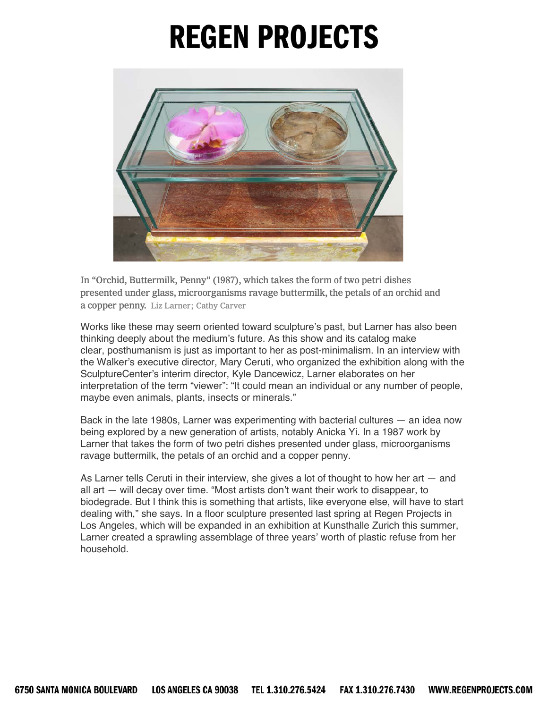

In "Orchid, Buttermilk, Penny" (1987), which takes the form of two petri dishes presented under glass, microorganisms ravage buttermilk, the petals of an orchid and a copper penny. Liz Larner; Cathy Carver

Works like these may seem oriented toward sculpture's past, but Larner has also been thinking deeply about the medium's future. As this show and its catalog make clear, posthumanism is just as important to her as post-minimalism. In an interview with the Walker's executive director, Mary Ceruti, who organized the exhibition along with the SculptureCenter's interim director, Kyle Dancewicz, Larner elaborates on her interpretation of the term "viewer": "It could mean an individual or any number of people, maybe even animals, plants, insects or minerals."

Back in the late 1980s, Larner was experimenting with bacterial cultures — an idea now being explored by a new generation of artists, notably Anicka Yi. In a 1987 work by Larner that takes the form of two petri dishes presented under glass, microorganisms ravage buttermilk, the petals of an orchid and a copper penny.

As Larner tells Ceruti in their interview, she gives a lot of thought to how her art — and all art — will decay over time. "Most artists don't want their work to disappear, to biodegrade. But I think this is something that artists, like everyone else, will have to start dealing with," she says. In a floor sculpture presented last spring at Regen Projects in Los Angeles, which will be expanded in an exhibition at Kunsthalle Zurich this summer, Larner created a sprawling assemblage of three years' worth of plastic refuse from her household.